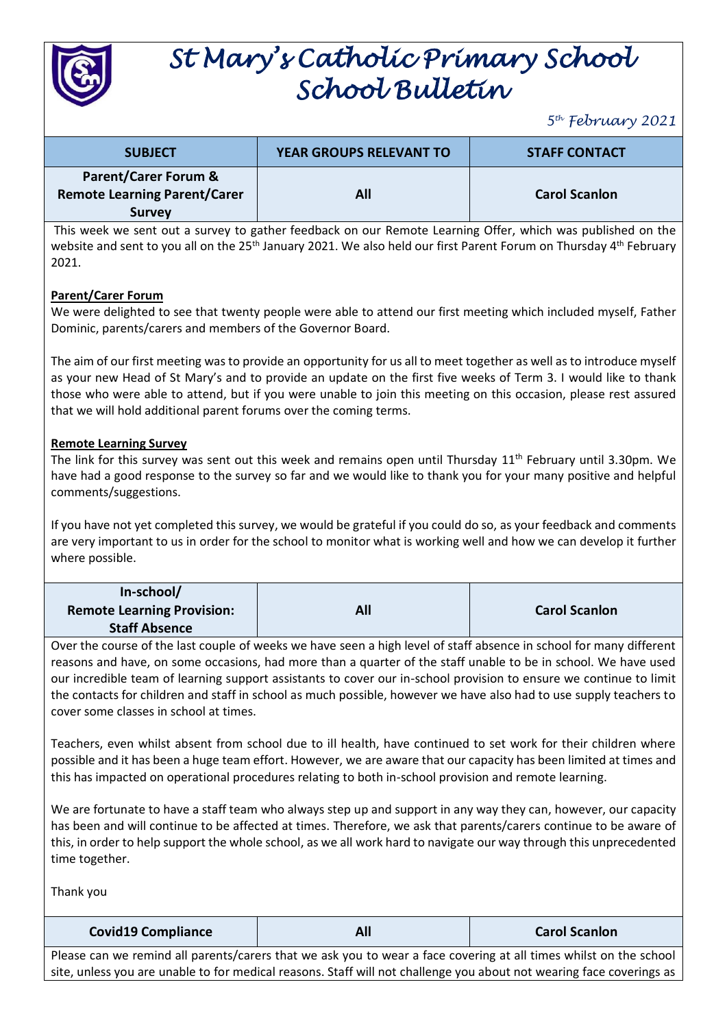

# *St Mary's Catholic Primary School School Bulletin*

*5 th February 2021*

| <b>SUBJECT</b>                                                                          | <b>YEAR GROUPS RELEVANT TO</b> | <b>STAFF CONTACT</b> |
|-----------------------------------------------------------------------------------------|--------------------------------|----------------------|
| <b>Parent/Carer Forum &amp;</b><br><b>Remote Learning Parent/Carer</b><br><b>Survey</b> | All                            | <b>Carol Scanlon</b> |

This week we sent out a survey to gather feedback on our Remote Learning Offer, which was published on the website and sent to you all on the 25<sup>th</sup> January 2021. We also held our first Parent Forum on Thursday 4<sup>th</sup> February 2021.

#### **Parent/Carer Forum**

We were delighted to see that twenty people were able to attend our first meeting which included myself, Father Dominic, parents/carers and members of the Governor Board.

The aim of our first meeting was to provide an opportunity for us all to meet together as well as to introduce myself as your new Head of St Mary's and to provide an update on the first five weeks of Term 3. I would like to thank those who were able to attend, but if you were unable to join this meeting on this occasion, please rest assured that we will hold additional parent forums over the coming terms.

#### **Remote Learning Survey**

The link for this survey was sent out this week and remains open until Thursday 11<sup>th</sup> February until 3.30pm. We have had a good response to the survey so far and we would like to thank you for your many positive and helpful comments/suggestions.

If you have not yet completed this survey, we would be grateful if you could do so, as your feedback and comments are very important to us in order for the school to monitor what is working well and how we can develop it further where possible.

| In-school/                        |     |                      |
|-----------------------------------|-----|----------------------|
| <b>Remote Learning Provision:</b> | All | <b>Carol Scanlon</b> |
| <b>Staff Absence</b>              |     |                      |

Over the course of the last couple of weeks we have seen a high level of staff absence in school for many different reasons and have, on some occasions, had more than a quarter of the staff unable to be in school. We have used our incredible team of learning support assistants to cover our in-school provision to ensure we continue to limit the contacts for children and staff in school as much possible, however we have also had to use supply teachers to cover some classes in school at times.

Teachers, even whilst absent from school due to ill health, have continued to set work for their children where possible and it has been a huge team effort. However, we are aware that our capacity has been limited at times and this has impacted on operational procedures relating to both in-school provision and remote learning.

We are fortunate to have a staff team who always step up and support in any way they can, however, our capacity has been and will continue to be affected at times. Therefore, we ask that parents/carers continue to be aware of this, in order to help support the whole school, as we all work hard to navigate our way through this unprecedented time together.

Thank you

**Covid19 Compliance All Carol Scanlon**

Please can we remind all parents/carers that we ask you to wear a face covering at all times whilst on the school site, unless you are unable to for medical reasons. Staff will not challenge you about not wearing face coverings as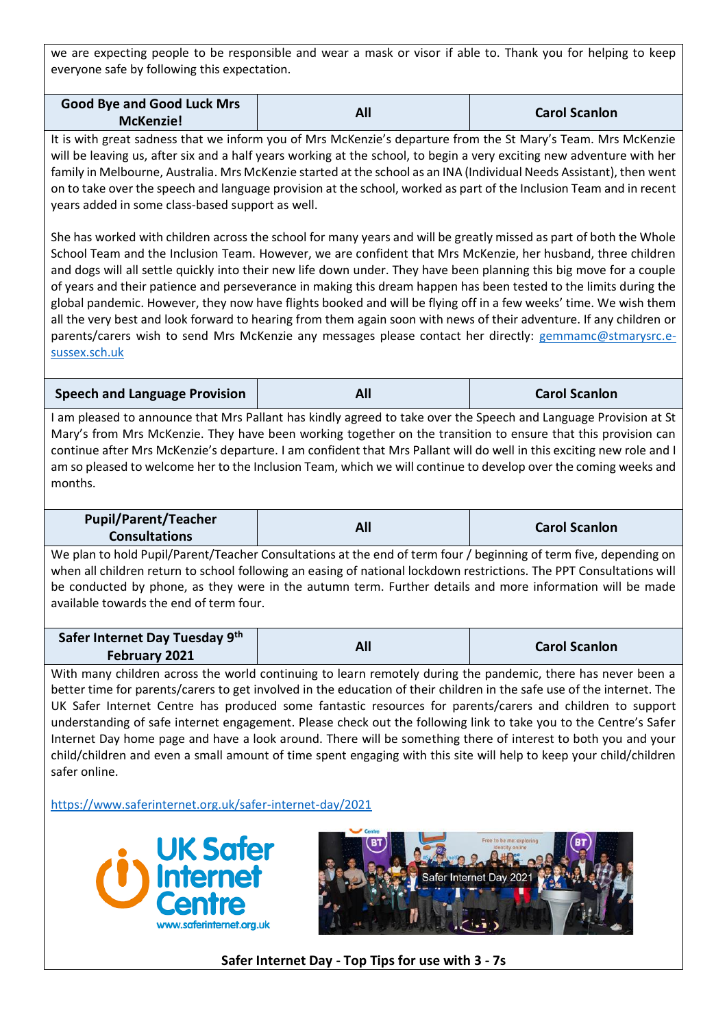we are expecting people to be responsible and wear a mask or visor if able to. Thank you for helping to keep everyone safe by following this expectation.

| <b>Good Bye and Good Luck Mrs</b> | All | <b>Carol Scanlon</b> |
|-----------------------------------|-----|----------------------|
| <b>McKenzie!</b>                  |     |                      |

It is with great sadness that we inform you of Mrs McKenzie's departure from the St Mary's Team. Mrs McKenzie will be leaving us, after six and a half years working at the school, to begin a very exciting new adventure with her family in Melbourne, Australia. Mrs McKenzie started at the school as an INA (Individual Needs Assistant), then went on to take over the speech and language provision at the school, worked as part of the Inclusion Team and in recent years added in some class-based support as well.

She has worked with children across the school for many years and will be greatly missed as part of both the Whole School Team and the Inclusion Team. However, we are confident that Mrs McKenzie, her husband, three children and dogs will all settle quickly into their new life down under. They have been planning this big move for a couple of years and their patience and perseverance in making this dream happen has been tested to the limits during the global pandemic. However, they now have flights booked and will be flying off in a few weeks' time. We wish them all the very best and look forward to hearing from them again soon with news of their adventure. If any children or parents/carers wish to send Mrs McKenzie any messages please contact her directly: [gemmamc@stmarysrc.e](mailto:gemmamc@stmarysrc.e-sussex.sch.uk)[sussex.sch.uk](mailto:gemmamc@stmarysrc.e-sussex.sch.uk)

**Speech and Language Provision All Carol Scanlon**

I am pleased to announce that Mrs Pallant has kindly agreed to take over the Speech and Language Provision at St Mary's from Mrs McKenzie. They have been working together on the transition to ensure that this provision can continue after Mrs McKenzie's departure. I am confident that Mrs Pallant will do well in this exciting new role and I am so pleased to welcome her to the Inclusion Team, which we will continue to develop over the coming weeks and months.

| <b>Pupil/Parent/Teacher</b> | All | <b>Carol Scanlon</b> |
|-----------------------------|-----|----------------------|
| <b>Consultations</b>        |     |                      |

We plan to hold Pupil/Parent/Teacher Consultations at the end of term four / beginning of term five, depending on when all children return to school following an easing of national lockdown restrictions. The PPT Consultations will be conducted by phone, as they were in the autumn term. Further details and more information will be made available towards the end of term four.

| Safer Internet Day Tuesday 9th | All | <b>Carol Scanlon</b> |
|--------------------------------|-----|----------------------|
| <b>February 2021</b>           |     |                      |

With many children across the world continuing to learn remotely during the pandemic, there has never been a better time for parents/carers to get involved in the education of their children in the safe use of the internet. The UK Safer Internet Centre has produced some fantastic resources for parents/carers and children to support understanding of safe internet engagement. Please check out the following link to take you to the Centre's Safer Internet Day home page and have a look around. There will be something there of interest to both you and your child/children and even a small amount of time spent engaging with this site will help to keep your child/children safer online.

<https://www.saferinternet.org.uk/safer-internet-day/2021>





**Safer Internet Day - Top Tips for use with 3 - 7s**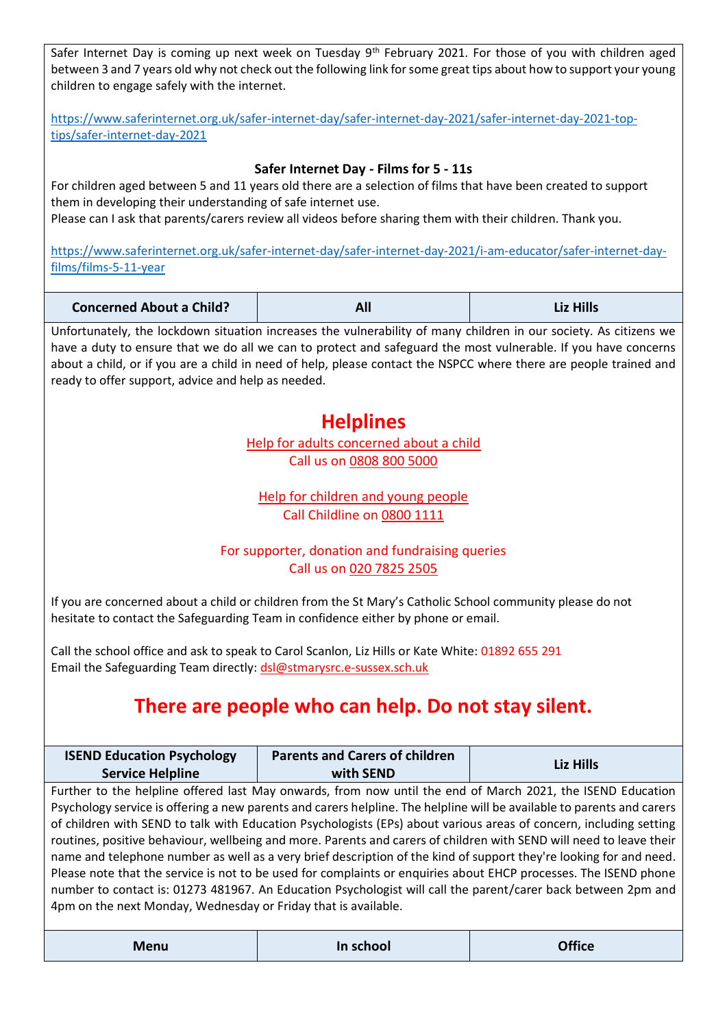Safer Internet Day is coming up next week on Tuesday 9<sup>th</sup> February 2021. For those of you with children aged between 3 and 7 years old why not check out the following link for some great tips about how to support your young children to engage safely with the internet.

[https://www.saferinternet.org.uk/safer-internet-day/safer-internet-day-2021/safer-internet-day-2021-top](https://www.saferinternet.org.uk/safer-internet-day/safer-internet-day-2021/safer-internet-day-2021-top-tips/safer-internet-day-2021)[tips/safer-internet-day-2021](https://www.saferinternet.org.uk/safer-internet-day/safer-internet-day-2021/safer-internet-day-2021-top-tips/safer-internet-day-2021)

### **Safer Internet Day - Films for 5 - 11s**

For children aged between 5 and 11 years old there are a selection of films that have been created to support them in developing their understanding of safe internet use. Please can I ask that parents/carers review all videos before sharing them with their children. Thank you.

[https://www.saferinternet.org.uk/safer-internet-day/safer-internet-day-2021/i-am-educator/safer-internet-day-](https://www.saferinternet.org.uk/safer-internet-day/safer-internet-day-2021/i-am-educator/safer-internet-day-films/films-5-11-year)

| films/films-5-11-year |
|-----------------------|
|                       |

| <b>Concerned About a Child?</b> | All | <b>Liz Hills</b> |
|---------------------------------|-----|------------------|
|---------------------------------|-----|------------------|

Unfortunately, the lockdown situation increases the vulnerability of many children in our society. As citizens we have a duty to ensure that we do all we can to protect and safeguard the most vulnerable. If you have concerns about a child, or if you are a child in need of help, please contact the NSPCC where there are people trained and ready to offer support, advice and help as needed.

## **Helplines**

[Help for adults concerned about a child](https://www.nspcc.org.uk/keeping-children-safe/reporting-abuse/) Call us on [0808 800 5000](tel:0808%20800%205000)

[Help for children and young people](http://www.childline.org.uk/) Call Childline on [0800 1111](tel:0800%201111)

## For supporter, donation and fundraising queries Call us on [020 7825 2505](tel:02078252505)

If you are concerned about a child or children from the St Mary's Catholic School community please do not hesitate to contact the Safeguarding Team in confidence either by phone or email.

Call the school office and ask to speak to Carol Scanlon, Liz Hills or Kate White: 01892 655 291 Email the Safeguarding Team directly: [dsl@stmarysrc.e-sussex.sch.uk](mailto:dsl@stmarysrc.e-sussex.sch.uk)

# **There are people who can help. Do not stay silent.**

| <b>ISEND Education Psychology</b> | <b>Parents and Carers of children</b> | <b>Liz Hills</b> |
|-----------------------------------|---------------------------------------|------------------|
| <b>Service Helpline</b>           | with SEND                             |                  |

Further to the helpline offered last May onwards, from now until the end of March 2021, the ISEND Education Psychology service is offering a new parents and carers helpline. The helpline will be available to parents and carers of children with SEND to talk with Education Psychologists (EPs) about various areas of concern, including setting routines, positive behaviour, wellbeing and more. Parents and carers of children with SEND will need to leave their name and telephone number as well as a very brief description of the kind of support they're looking for and need. Please note that the service is not to be used for complaints or enquiries about EHCP processes. The ISEND phone number to contact is: 01273 481967. An Education Psychologist will call the parent/carer back between 2pm and 4pm on the next Monday, Wednesday or Friday that is available.